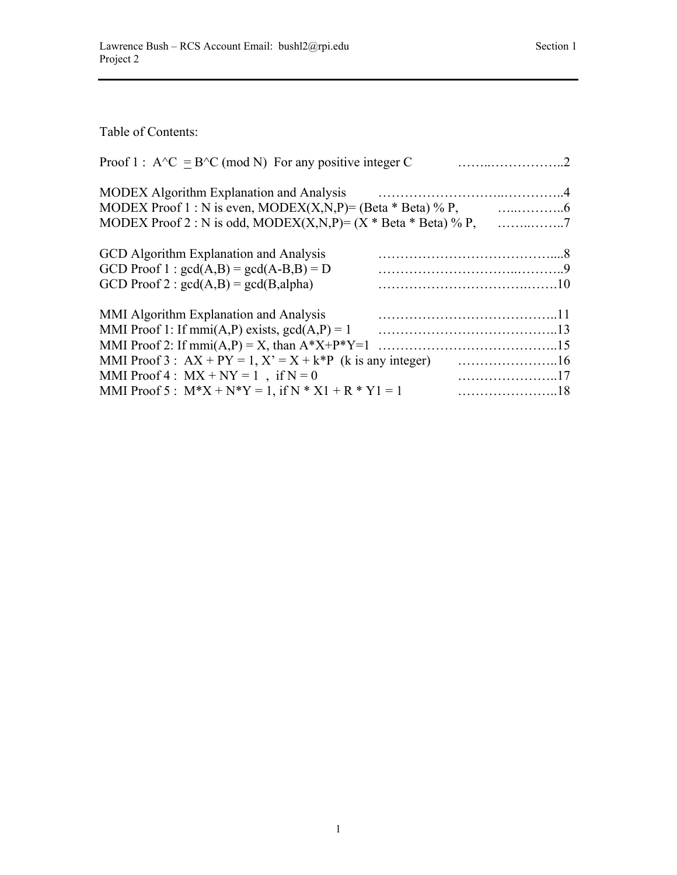Table of Contents:

| Proof 1 : $A^{\wedge}C = B^{\wedge}C \pmod{N}$ For any positive integer C |  |
|---------------------------------------------------------------------------|--|
| <b>MODEX</b> Algorithm Explanation and Analysis                           |  |
|                                                                           |  |
|                                                                           |  |
| GCD Algorithm Explanation and Analysis                                    |  |
| GCD Proof 1 : $gcd(A,B) = gcd(A-B,B) = D$                                 |  |
| GCD Proof 2 : $gcd(A,B) = gcd(B,alpha)$                                   |  |
| MMI Algorithm Explanation and Analysis                                    |  |
| MMI Proof 1: If mmi(A,P) exists, $gcd(A,P) = 1$                           |  |
| MMI Proof 2: If mmi(A,P) = X, than $A^*X+P^*Y=1$                          |  |
|                                                                           |  |
| MMI Proof 4 : $MX + NY = 1$ , if $N = 0$                                  |  |
| MMI Proof 5 : $M^*X + N^*Y = 1$ , if $N^*X1 + R^*Y1 = 1$                  |  |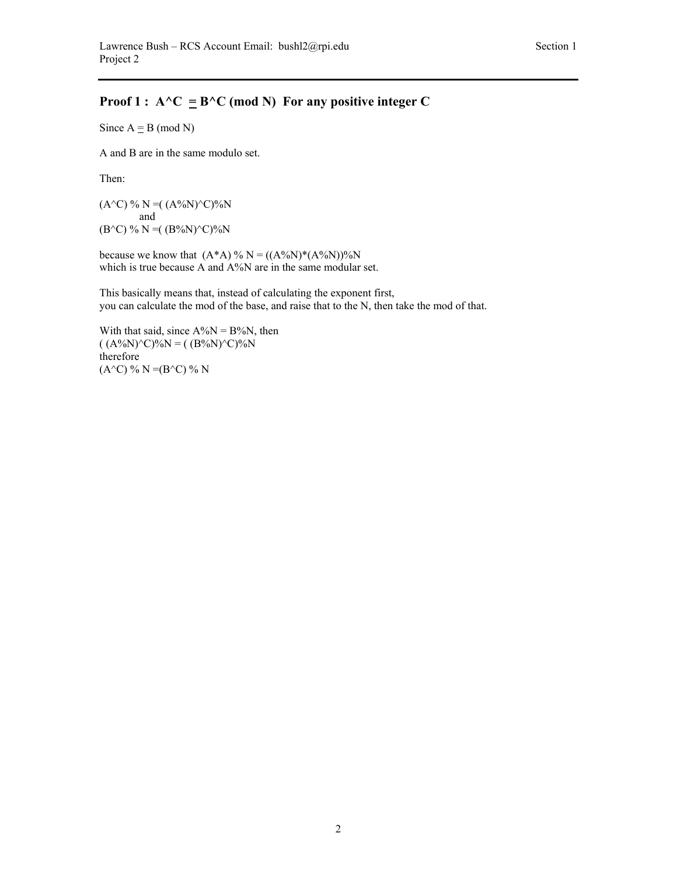# **Proof 1 :**  $A^{\wedge}C = B^{\wedge}C$  (mod N) For any positive integer C

Since  $A \equiv B \pmod{N}$ 

A and B are in the same modulo set.

Then:

 $(A^{\wedge}C)$  % N =  $((A^{\%}N)^{\wedge}C)^{\%}N$  and  $(B^{\wedge}C)$  % N =  $((B^{\phi}N)^{\wedge}C)^{\phi}N$ 

because we know that  $(A^*A)$  % N =  $((A^0/(N))^*(A^0/(N))^0/(N)$ which is true because A and A%N are in the same modular set.

This basically means that, instead of calculating the exponent first, you can calculate the mod of the base, and raise that to the N, then take the mod of that.

With that said, since  $A\%N = B\%N$ , then  $((A\%N)^{\wedge}C)\%N = ((B\%N)^{\wedge}C)\%N$ therefore  $(A^{\wedge}C)$  % N =(B $^{\wedge}C)$  % N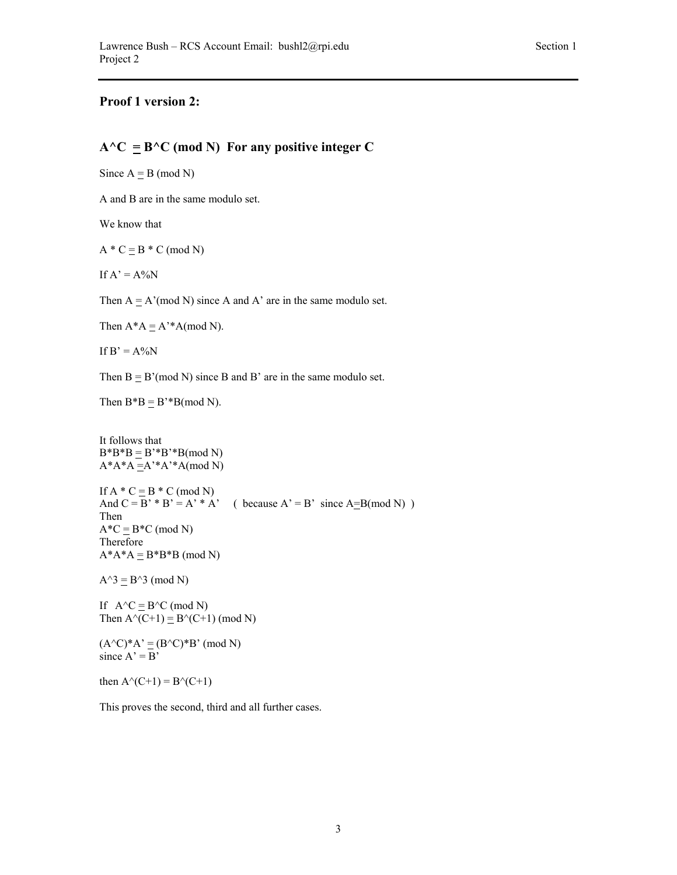## **Proof 1 version 2:**

### $A^{\wedge}C \equiv B^{\wedge}C \pmod{N}$  For any positive integer C

Since  $A \equiv B \pmod{N}$ 

A and B are in the same modulo set.

We know that

 $A * C = B * C \pmod{N}$ 

If  $A' = A\%N$ 

Then  $A \equiv A' \pmod{N}$  since A and A' are in the same modulo set.

Then  $A^*A \equiv A'^*A \pmod{N}$ .

If  $B' = A\%N$ 

Then  $B = B' \pmod{N}$  since B and B' are in the same modulo set.

Then  $B^*B \equiv B^*B \pmod{N}$ .

It follows that  $B*B*B \equiv B'*B'*B(mod N)$  $A^*A^*A = A^*A^*A$ (mod N) If  $A * C = B * C \pmod{N}$ And  $C = B' * B' = A' * A'$  ( because  $A' = B'$  since  $A = B \pmod{N}$  ) Then  $A^*C \equiv B^*C \pmod{N}$ Therefore  $A^*A^*A \equiv B^*B^*B \pmod{N}$ 

 $A^3 \equiv B^3$  (mod N)

If  $A^{\wedge}C \equiv B^{\wedge}C \pmod{N}$ Then  $A^{\wedge}(C+1) \equiv B^{\wedge}(C+1)$  (mod N)

 $(A^{\wedge}C)^*A' \equiv (B^{\wedge}C)^*B' \pmod{N}$ since  $A' = B'$ 

then  $A^{\wedge}(C+1) = B^{\wedge}(C+1)$ 

This proves the second, third and all further cases.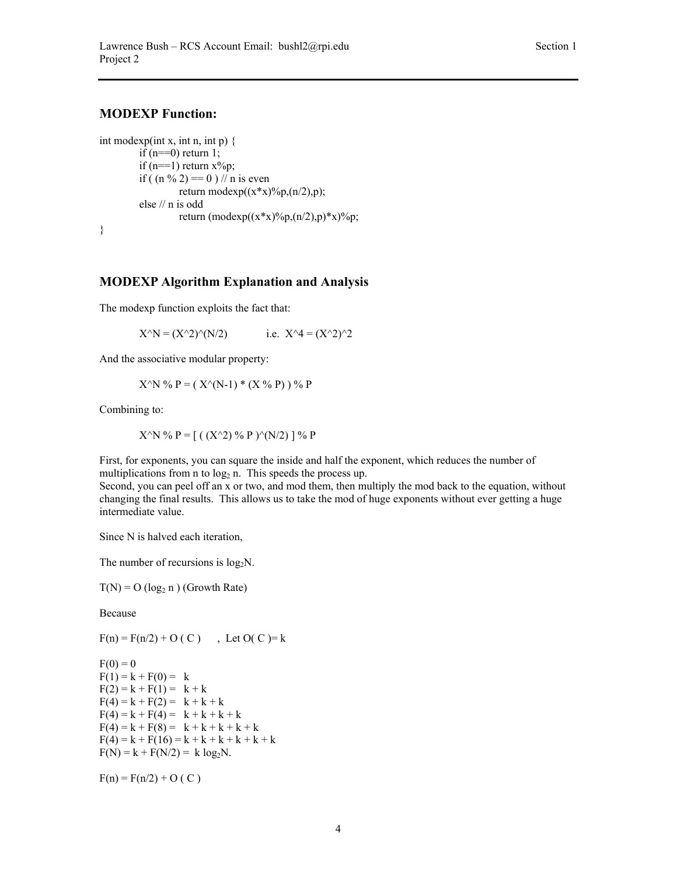### **MODEXP Function:**

int modexp(int x, int n, int p)  $\{$ if  $(n=-0)$  return 1; if  $(n == 1)$  return  $x\%p$ ; if (  $(n \% 2) == 0$  ) // n is even return modexp $((x*x)\%p,(n/2),p);$ else // n is odd return (modexp( $(x*x)$ %p, $(n/2)$ ,p)\*x)%p; }

#### **MODEXP Algorithm Explanation and Analysis**

The modexp function exploits the fact that:

 $X^{\wedge}N = (X^{\wedge}2)^{\wedge}(N/2)$  i.e.  $X^{\wedge}4 = (X^{\wedge}2)^{\wedge}2$ 

And the associative modular property:

$$
X^{\wedge}N \mathcal{%} P = (X^{\wedge}(N-1) * (X \mathcal{%} P)) \mathcal{%} P
$$

Combining to:

$$
X^{\wedge}N \mathcal{V}_0 P = [ ((X^{\wedge}2) \mathcal{V}_0 P )^{\wedge} (N/2) ] \mathcal{V}_0 P
$$

First, for exponents, you can square the inside and half the exponent, which reduces the number of multiplications from n to  $log<sub>2</sub>$  n. This speeds the process up.

Second, you can peel off an x or two, and mod them, then multiply the mod back to the equation, without changing the final results. This allows us to take the mod of huge exponents without ever getting a huge intermediate value.

Since N is halved each iteration,

The number of recursions is  $log_2N$ .

 $T(N) = O (log_2 n) (Growth Rate)$ 

Because

 $F(n) = F(n/2) + O(C)$ , Let  $O(C) = k$ 

 $F(0) = 0$  $F(1) = k + F(0) = k$  $F(2) = k + F(1) = k + k$  $F(4) = k + F(2) = k + k + k$  $F(4) = k + F(4) = k + k + k + k$  $F(4) = k + F(8) = k + k + k + k + k$  $F(4) = k + F(16) = k + k + k + k + k + k$  $F(N) = k + F(N/2) = k \log_2 N$ .

 $F(n) = F(n/2) + O(C)$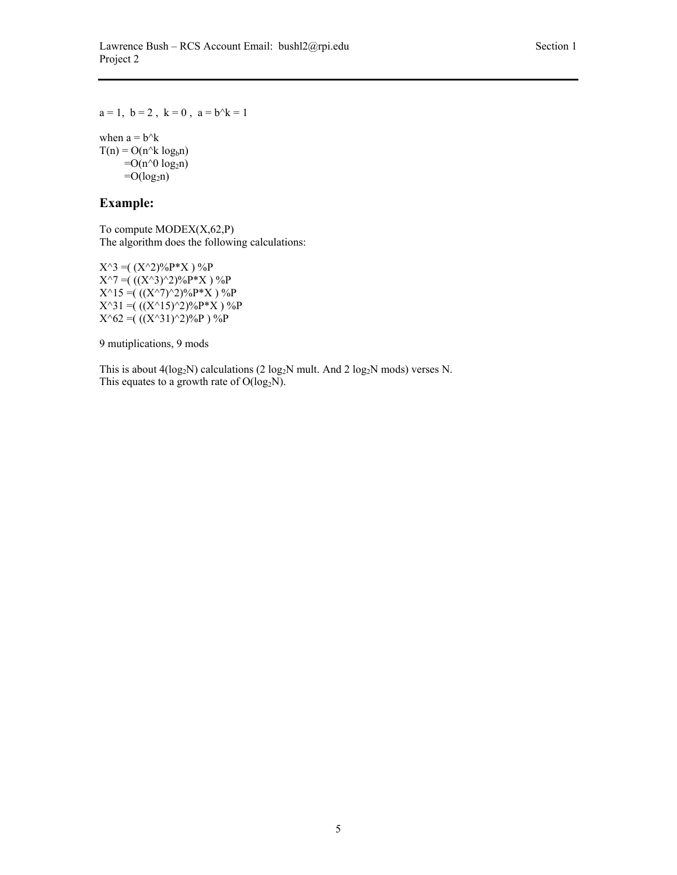$a = 1$ ,  $b = 2$ ,  $k = 0$ ,  $a = b^k = 1$ 

when  $a = b^k$  $T(n) = O(n^k \log_b n)$  $=O(n^0 log_2 n)$  $=O(log<sub>2</sub>n)$ 

## **Example:**

To compute  $MODEX(X, 62, P)$ The algorithm does the following calculations:

 $X^{\wedge}3 = ( (X^{\wedge}2)^0 / 0 P^* X )^0 / 0 P$  $X^{\wedge}7 = ((X^{\wedge}3)^{\wedge}2)^{0}\sqrt{P}^*X$  ) %P  $X^{\wedge}15 = ((X^{\wedge}7)^{\wedge}2)^{0}6P^*X$  ) %P  $X^{\wedge}31 = ((X^{\wedge}15)^{\wedge}2)\%P^*X$  ) %P  $X^62 = ((X^31)^22)$ %P ) %P

9 mutiplications, 9 mods

This is about  $4(log_2N)$  calculations (2 log<sub>2</sub>N mult. And 2 log<sub>2</sub>N mods) verses N. This equates to a growth rate of  $O(log_2N)$ .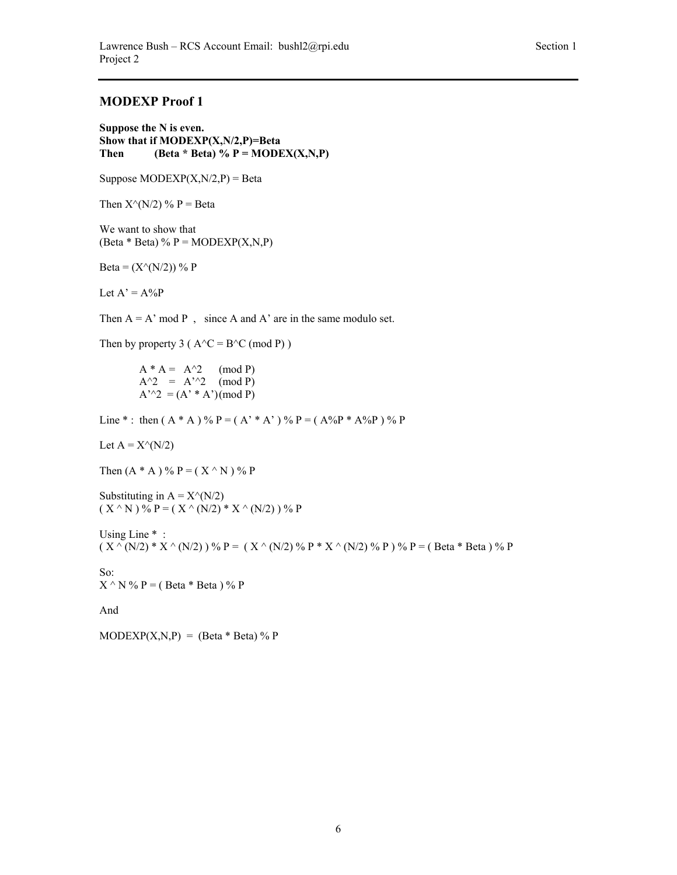### **MODEXP Proof 1**

**Suppose the N is even. Show that if MODEXP(X,N/2,P)=Beta Then** (Beta \* Beta) %  $P = MODEX(X, N, P)$ 

Suppose  $MODEXP(X, N/2, P) = Beta$ 

Then  $X^{\wedge}(N/2)$  % P = Beta

We want to show that (Beta  $*$  Beta) % P = MODEXP $(X, N, P)$ 

Beta =  $(X^{(N/2)})$  % P

Let  $A' = A\%P$ 

Then  $A = A' \mod P$ , since A and A' are in the same modulo set.

Then by property 3 ( $A^{\wedge}C = B^{\wedge}C \pmod{P}$ )

 $A^* A = A^2$  (mod P)  $A^{\wedge}2 = A^{\wedge}2 \pmod{P}$  $A''^{2} = (A' * A')(mod P)$ 

Line \* : then  $(A * A)$  % P =  $(A' * A')$  % P =  $(A\%P * A\%P)$  % P

Let  $A = X^{\wedge}(N/2)$ 

Then  $(A * A) \% P = (X \land N) \% P$ 

Substituting in  $A = X^{\wedge}(N/2)$  $(X^{\wedge} N)^{0}$   $\mathfrak{p} = (X^{\wedge} (N/2) * X^{\wedge} (N/2))$  % P

Using Line  $*$ :  $(X \cap (N/2) * X \cap (N/2))$  % P =  $(X \cap (N/2)$  % P \*  $X \cap (N/2)$  % P  $)$  % P = (Beta \* Beta ) % P

So:  $X \wedge N \% P = (Beta * Beta) \% P$ 

And

 $MODEXP(X,N,P) = (Beta * Beta) \% P$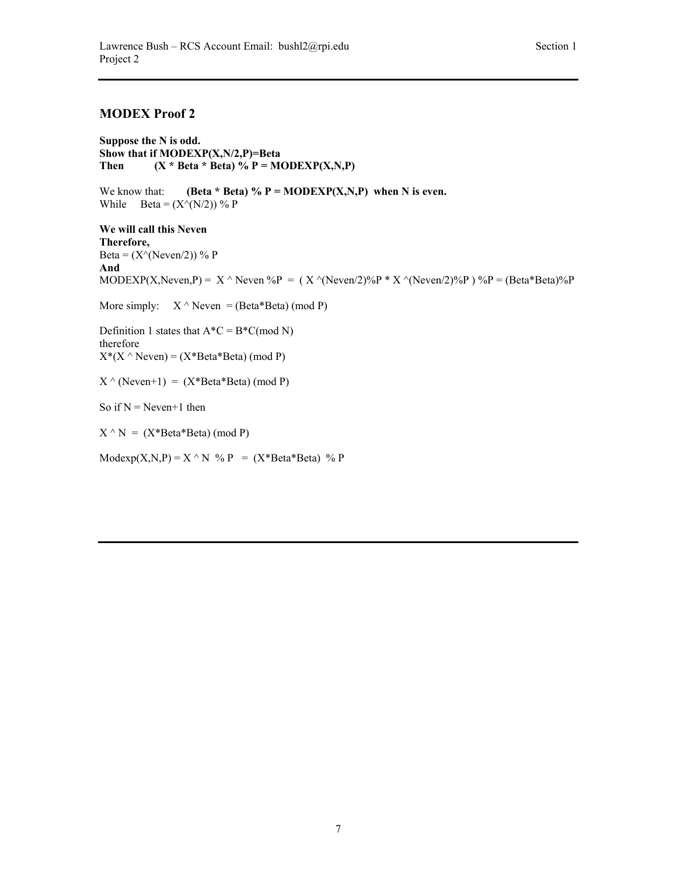### **MODEX Proof 2**

**Suppose the N is odd. Show that if MODEXP(X,N/2,P)=Beta** Then  $(X * Beta * Beta) \% P = MODEXP(X,N,P)$ 

We know that: **(Beta \* Beta)** %  $P = MODEXP(X,N,P)$  when N is even. While  $\text{Beta} = (X \land (N/2))$  % P

**We will call this Neven Therefore,**  Beta =  $(X^{\wedge}(Neven/2))$  % P **And**  MODEXP(X,Neven,P) =  $X \wedge$ Neven %P = ( $X \wedge$ (Neven/2)%P \*  $X \wedge$ (Neven/2)%P) %P = (Beta\*Beta)%P More simply:  $X^{\wedge}$  Neven = (Beta\*Beta) (mod P) Definition 1 states that  $A^*C = B^*C \pmod{N}$ therefore  $X^*(X \wedge \text{Neven}) = (X^*Beta^*Beta) \pmod{P}$  $X \wedge (N$ even+1) =  $(X^*Beta^*Beta)$  (mod P) So if  $N =$  Neven+1 then  $X \cap N = (X^*Beta^*Beta) \pmod{P}$  $\text{Modexp}(X, N, P) = X \wedge N$  %  $P = (X^* \text{Beta}^* \text{Beta})$  % P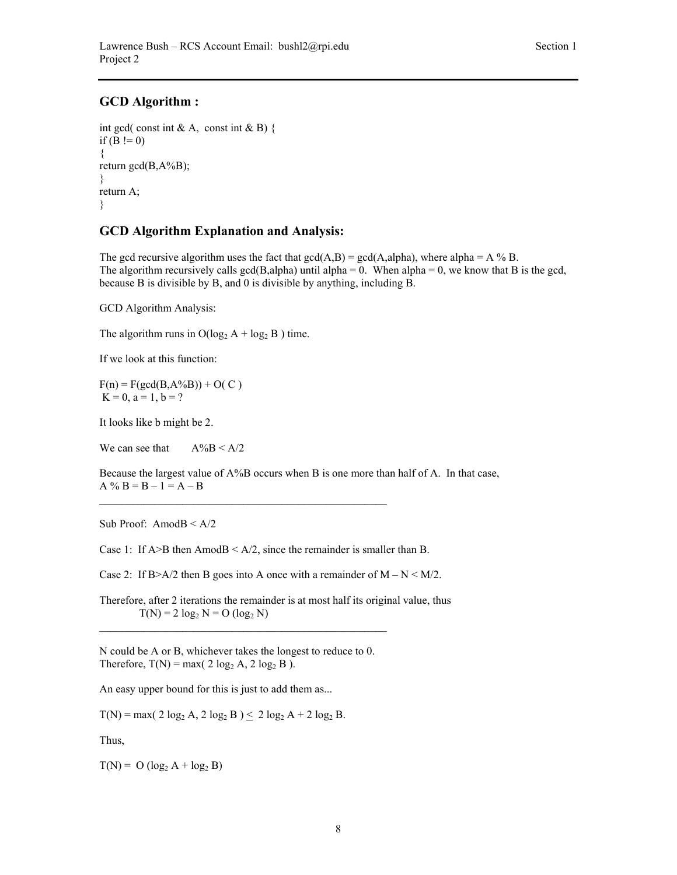### **GCD Algorithm :**

```
int gcd( const int & A, const int & B) {
if (B = 0){ 
return gcd(B, A\%B);
} 
return A; 
}
```
### **GCD Algorithm Explanation and Analysis:**

The gcd recursive algorithm uses the fact that  $gcd(A, B) = gcd(A, alpha)$ , where alpha = A % B. The algorithm recursively calls gcd(B,alpha) until alpha = 0. When alpha = 0, we know that B is the gcd, because B is divisible by B, and 0 is divisible by anything, including B.

GCD Algorithm Analysis:

The algorithm runs in  $O(log_2 A + log_2 B)$  time.

If we look at this function:

 $F(n) = F(\text{gcd}(B, A\%B)) + O(C)$  $K = 0$ ,  $a = 1$ ,  $b = ?$ 

It looks like b might be 2.

We can see that  $A\%B < A/2$ 

Because the largest value of A%B occurs when B is one more than half of A. In that case,  $A \% B = B - 1 = A - B$ 

Sub Proof: AmodB < A/2

Case 1: If  $A > B$  then Amod $B < A/2$ , since the remainder is smaller than B.

 $\mathcal{L}_\text{max}$  and the contract of the contract of the contract of the contract of the contract of the contract of the contract of the contract of the contract of the contract of the contract of the contract of the contrac

Case 2: If B>A/2 then B goes into A once with a remainder of  $M - N \leq M/2$ .

Therefore, after 2 iterations the remainder is at most half its original value, thus  $T(N) = 2 \log_2 N = O ( \log_2 N )$ 

N could be A or B, whichever takes the longest to reduce to 0. Therefore,  $T(N) = max(2 log<sub>2</sub> A, 2 log<sub>2</sub> B).$ 

An easy upper bound for this is just to add them as...

 $T(N) = max( 2 log<sub>2</sub> A, 2 log<sub>2</sub> B ) \le 2 log<sub>2</sub> A + 2 log<sub>2</sub> B.$ 

Thus,

 $T(N) = O (log<sub>2</sub> A + log<sub>2</sub> B)$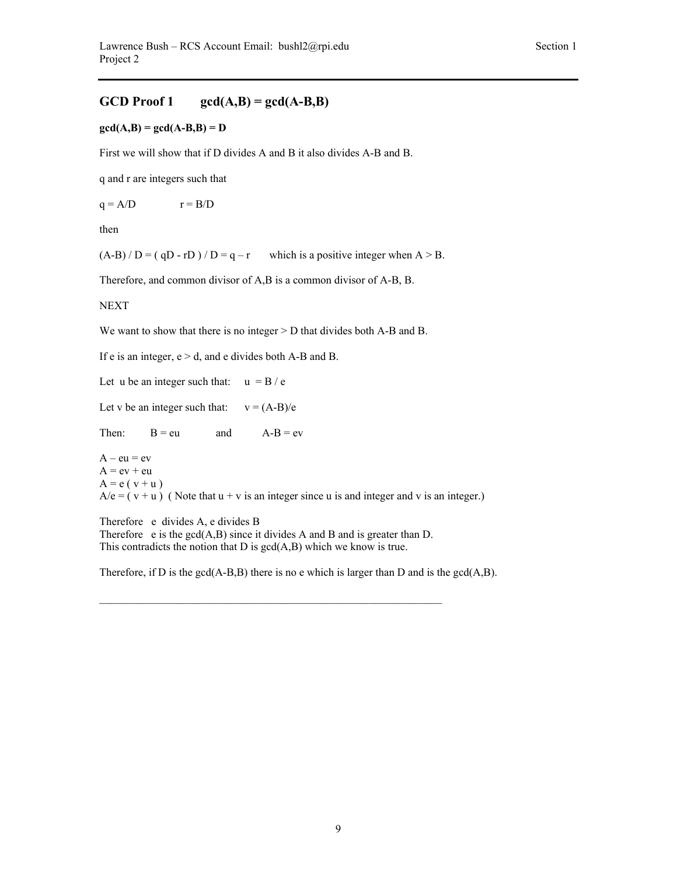### GCD Proof 1  $gcd(A,B) = gcd(A-B,B)$

#### $gcd(A,B) = gcd(A-B,B) = D$

First we will show that if D divides A and B it also divides A-B and B.

q and r are integers such that

 $q = A/D$   $r = B/D$ 

then

 $(A-B) / D = ( qD - rD ) / D = q - r$  which is a positive integer when  $A > B$ .

Therefore, and common divisor of A,B is a common divisor of A-B, B.

**NEXT** 

We want to show that there is no integer  $>$  D that divides both A-B and B.

If e is an integer,  $e > d$ , and e divides both A-B and B.

Let u be an integer such that:  $u = B / e$ 

Let v be an integer such that:  $v = (A-B)/e$ 

Then:  $B = eu$  and  $A - B = ev$ 

 $A - eu = ev$  $A = ev + eu$  $A = e(v + u)$  $A/e = (v + u)$  (Note that  $u + v$  is an integer since u is and integer and v is an integer.)

Therefore e divides A, e divides B Therefore  $e$  is the  $gcd(A,B)$  since it divides A and B and is greater than D. This contradicts the notion that  $D$  is  $gcd(A,B)$  which we know is true.

 $\_$  , and the set of the set of the set of the set of the set of the set of the set of the set of the set of the set of the set of the set of the set of the set of the set of the set of the set of the set of the set of th

Therefore, if D is the  $gcd(A-B,B)$  there is no e which is larger than D and is the  $gcd(A,B)$ .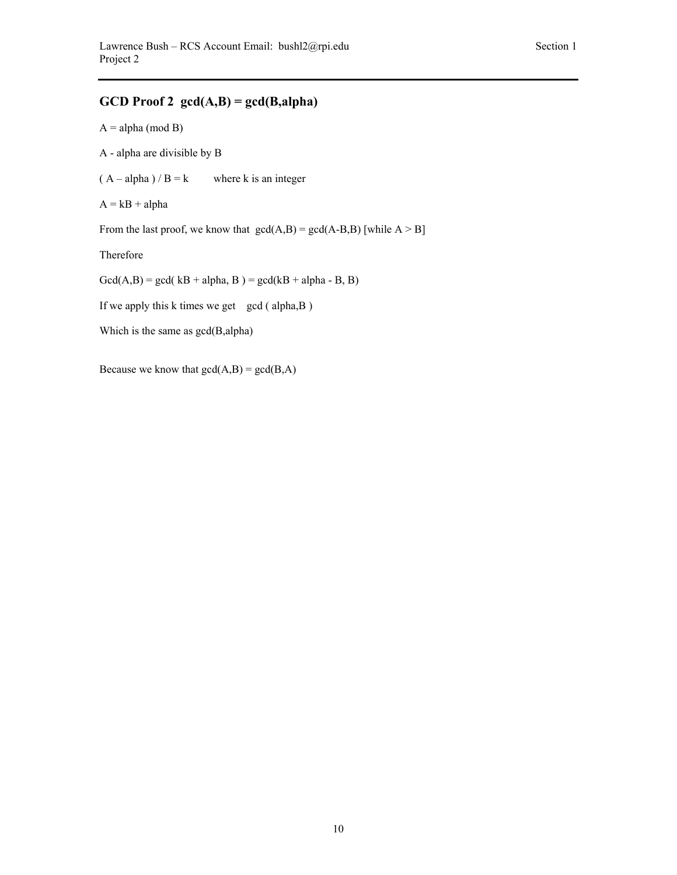# **GCD Proof 2 gcd(A,B) = gcd(B,alpha)**

 $A = alpha (mod B)$ 

A - alpha are divisible by B

 $(A - alpha) / B = k$  where k is an integer

 $A = kB + alpha$ 

From the last proof, we know that  $gcd(A,B) = gcd(A-B,B)$  [while  $A > B$ ]

Therefore

 $Gcd(A,B) = gcd( kB + alpha, B) = gcd( kB + alpha - B, B)$ 

If we apply this k times we get gcd ( $alpha, B$ )

```
Which is the same as gcd(B,alpha)
```
Because we know that  $gcd(A,B) = gcd(B,A)$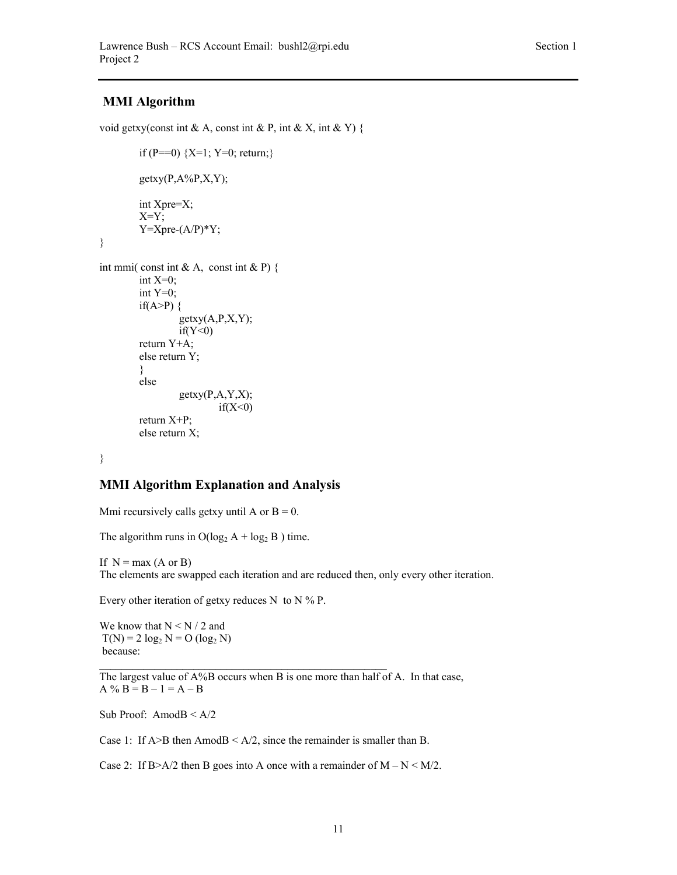## **MMI Algorithm**

void getxy(const int & A, const int & P, int & X, int & Y) {

```
if (P==0) {X=1; Y=0; return;}getxy(P,A%P,X,Y);
         int Xpre=X; 
        X=Y;Y=Xpre-(A/P)*Y;int mmi( const int & A, const int & P) \{int X=0;
        int Y=0;
        if(A>P) \{getxy(A, P, X, Y);if(Y<0) return Y+A; 
        else return Y; 
         } 
         else 
                 getxy(P,A,Y,X);if(X<0) return X+P; 
        else return X;
```
}

}

## **MMI Algorithm Explanation and Analysis**

Mmi recursively calls getxy until A or  $B = 0$ .

The algorithm runs in  $O(log_2 A + log_2 B)$  time.

If  $N = max (A \text{ or } B)$ The elements are swapped each iteration and are reduced then, only every other iteration.

Every other iteration of getxy reduces N to N  $%$  P.

We know that  $N \le N / 2$  and  $T(N) = 2 \log_2 N = O(\log_2 N)$ because:

The largest value of  $A\%B$  occurs when B is one more than half of A. In that case,  $A \% B = B - 1 = A - B$ 

Sub Proof: Amod $B \leq A/2$ 

Case 1: If  $A > B$  then Amod $B < A/2$ , since the remainder is smaller than B.

Case 2: If B>A/2 then B goes into A once with a remainder of  $M - N \leq M/2$ .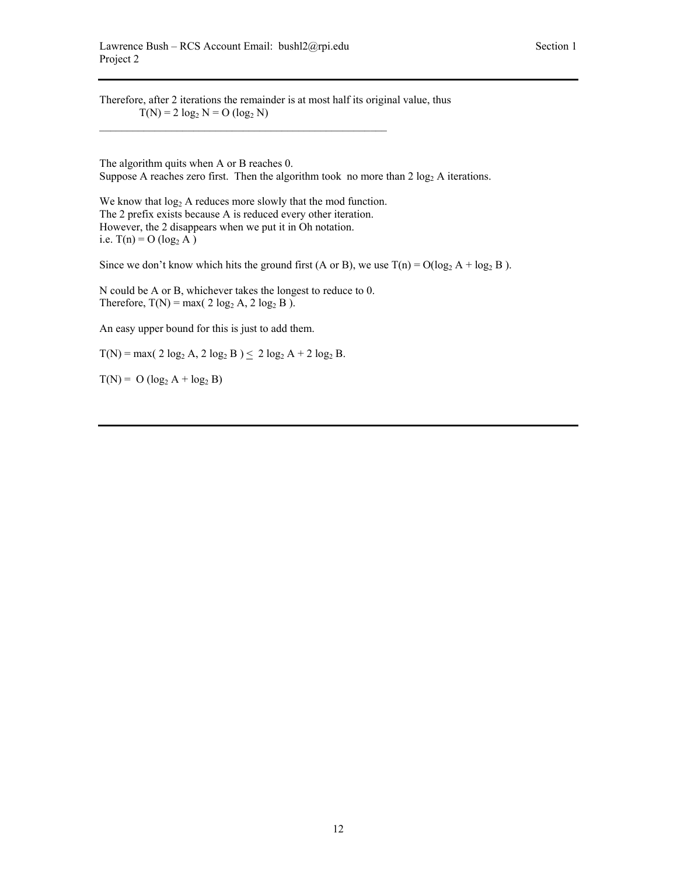Therefore, after 2 iterations the remainder is at most half its original value, thus  $T(N) = 2 \log_2 N = O ( \log_2 N )$ 

The algorithm quits when A or B reaches 0. Suppose A reaches zero first. Then the algorithm took no more than  $2 \log_2 A$  iterations.

We know that  $log_2 A$  reduces more slowly that the mod function. The 2 prefix exists because A is reduced every other iteration. However, the 2 disappears when we put it in Oh notation. i.e.  $T(n) = O(log_2 A)$ 

Since we don't know which hits the ground first (A or B), we use  $T(n) = O(\log_2 A + \log_2 B)$ .

N could be A or B, whichever takes the longest to reduce to 0. Therefore,  $T(N) = max(2 \log_2 A, 2 \log_2 B)$ .

An easy upper bound for this is just to add them.

 $T(N) = max( 2 log<sub>2</sub> A, 2 log<sub>2</sub> B ) \le 2 log<sub>2</sub> A + 2 log<sub>2</sub> B.$ 

 $T(N) = O (log_2 A + log_2 B)$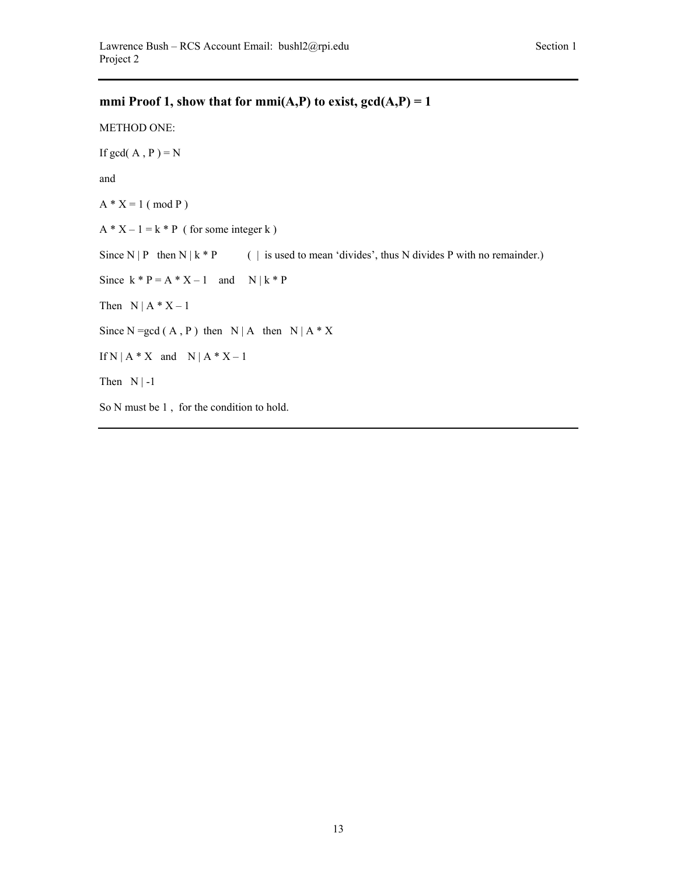# **mmi Proof 1, show that for mmi(A,P) to exist,**  $gcd(A, P) = 1$

METHOD ONE:

If gcd( $A$ ,  $P$ ) = N

and

 $A * X = 1 \ (mod P)$ 

 $A * X - 1 = k * P$  (for some integer k)

Since  $N | P$  then  $N | k * P$  ( | is used to mean 'divides', thus N divides P with no remainder.)

Since  $k * P = A * X - 1$  and  $N | k * P$ 

Then  $N | A * X - 1$ 

Since  $N = gcd(A, P)$  then  $N | A$  then  $N | A * X$ 

If  $N | A * X$  and  $N | A * X - 1$ 

Then  $N \mid -1$ 

So N must be 1 , for the condition to hold.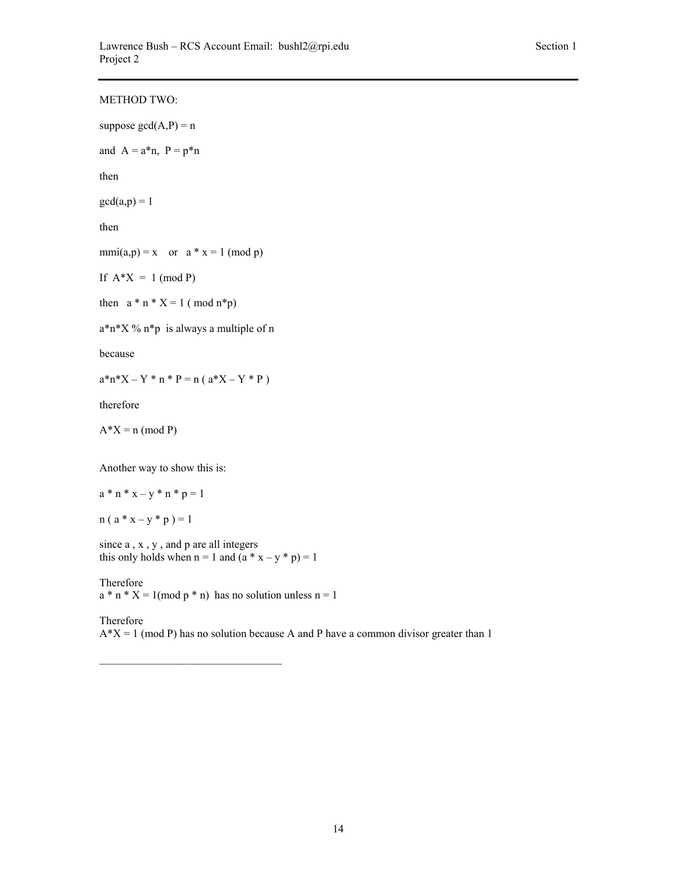| <b>METHOD TWO:</b>                           |
|----------------------------------------------|
| suppose $gcd(A,P) = n$                       |
| and $A = a*n$ , $P = p*n$                    |
| then                                         |
| $gcd(a,p) = 1$                               |
| then                                         |
| $mmi(a,p) = x$ or $a * x = 1 \pmod{p}$       |
| If $A^*X = 1 \pmod{P}$                       |
| then $a * n * X = 1 \pmod{n * p}$            |
| $a^*n^*X$ % $n^*p$ is always a multiple of n |
| because                                      |
| $a^*n^*X - Y * n * P = n (a^*X - Y * P)$     |
| therefore                                    |
| $A^*X = n \pmod{P}$                          |
| Another way to show this is:                 |
|                                              |
| $a * n * x - y * n * p = 1$                  |
| $n(a * x - y * p) = 1$                       |

since a , x , y , and p are all integers this only holds when  $n = 1$  and  $(a * x - y * p) = 1$ 

Therefore  $a * n * X = 1 \pmod{p * n}$  has no solution unless  $n = 1$ 

Therefore  $A^*X = 1 \pmod{P}$  has no solution because A and P have a common divisor greater than 1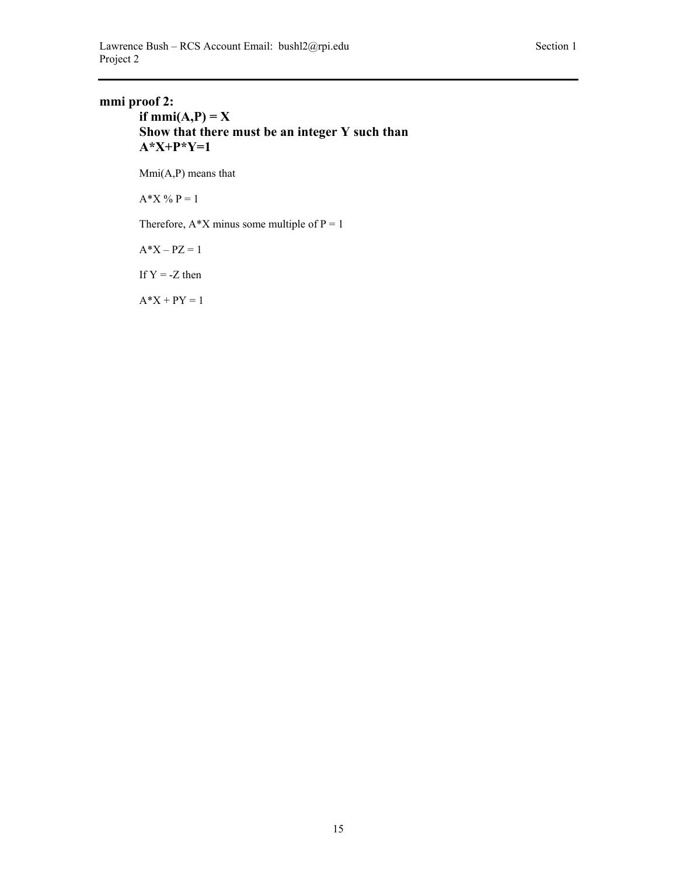# **mmi proof 2:**

## **if mmi(A,P) = X Show that there must be an integer Y such than A\*X+P\*Y=1**

Mmi(A,P) means that

 $A^*X \% P = 1$ 

Therefore,  $A^*X$  minus some multiple of  $P = 1$ 

 $A^*X - PZ = 1$ 

If  $Y = -Z$  then

 $A^*X + PY = 1$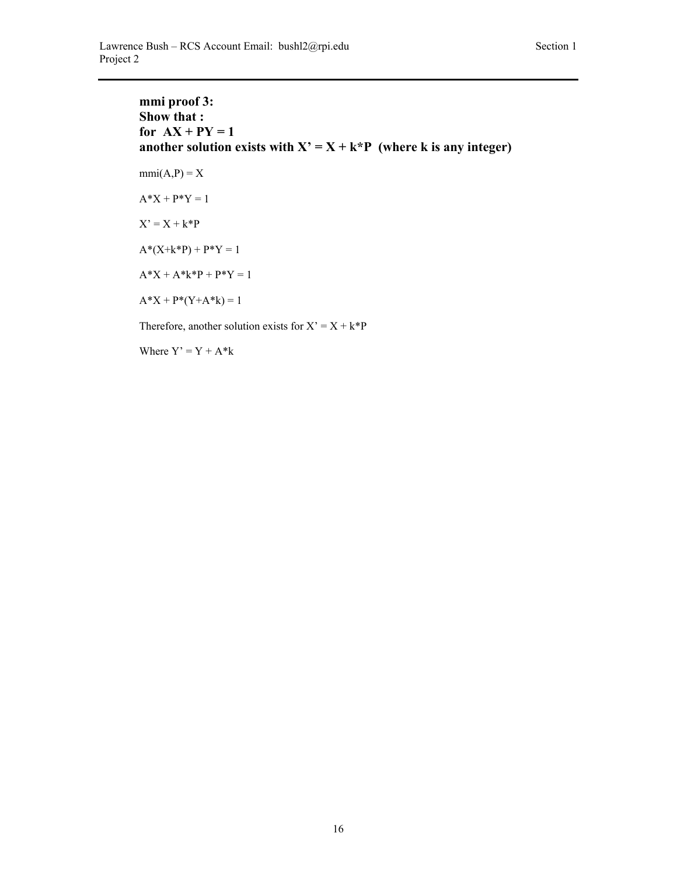**mmi proof 3: Show that :**  for  $AX + PY = 1$ another solution exists with  $X' = X + k^*P$  (where k is any integer)  $mmi(A,P) = X$  $A^*X + P^*Y = 1$  $X' = X + k*P$  $A^*(X+k^*P) + P^*Y = 1$  $A^*X + A^*k^*P + P^*Y = 1$  $A^*X + P^*(Y+A^*k) = 1$ Therefore, another solution exists for  $X' = X + k^*P$ 

Where  $Y' = Y + A^*k$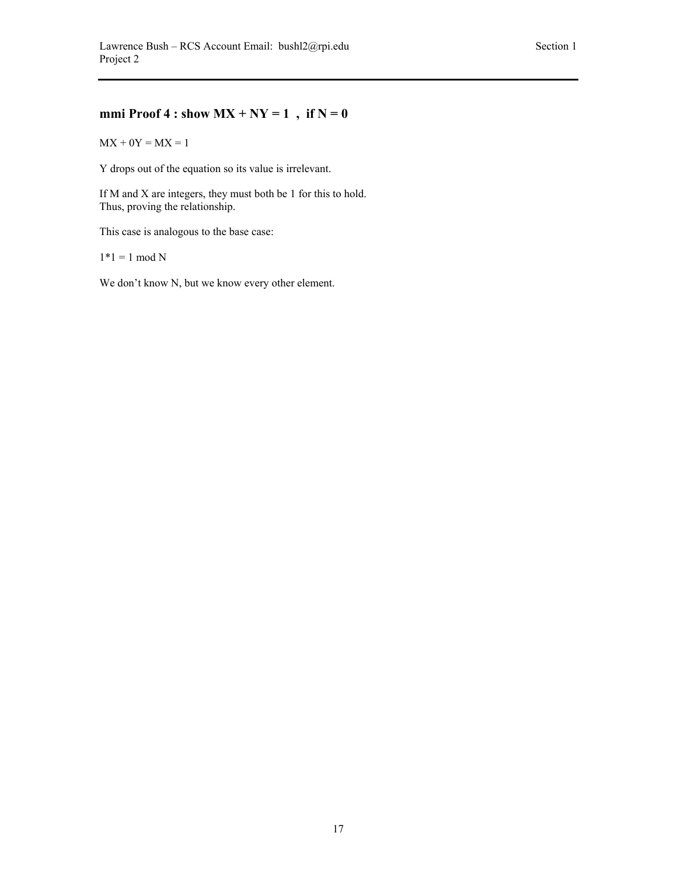# **mmi Proof 4 : show**  $MX + NY = 1$ , if  $N = 0$

 $MX + 0Y = MX = 1$ 

Y drops out of the equation so its value is irrelevant.

If M and X are integers, they must both be 1 for this to hold. Thus, proving the relationship.

This case is analogous to the base case:

 $1*1 = 1 \mod N$ 

We don't know N, but we know every other element.